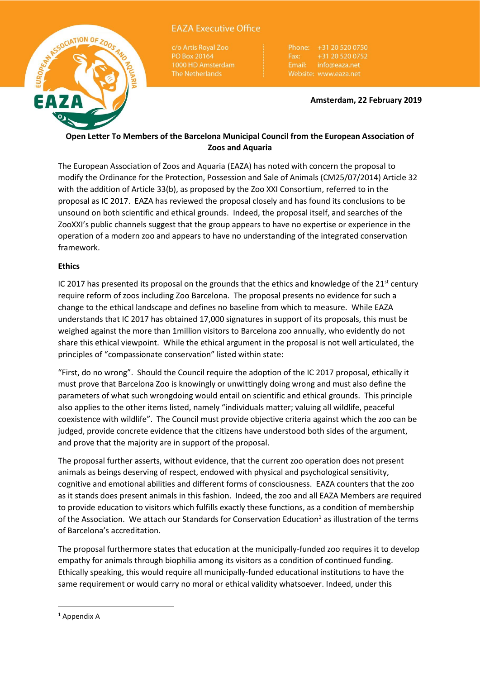

# **EAZA Executive Office**

c/o Artis Royal Zoo PO Box 20164

+31 20 520 0752 Fax: Email: info@eaza.net

#### **Amsterdam, 22 February 2019**

# **Open Letter To Members of the Barcelona Municipal Council from the European Association of Zoos and Aquaria**

The European Association of Zoos and Aquaria (EAZA) has noted with concern the proposal to modify the Ordinance for the Protection, Possession and Sale of Animals (CM25/07/2014) Article 32 with the addition of Article 33(b), as proposed by the Zoo XXI Consortium, referred to in the proposal as IC 2017. EAZA has reviewed the proposal closely and has found its conclusions to be unsound on both scientific and ethical grounds. Indeed, the proposal itself, and searches of the ZooXXI's public channels suggest that the group appears to have no expertise or experience in the operation of a modern zoo and appears to have no understanding of the integrated conservation framework.

## **Ethics**

IC 2017 has presented its proposal on the grounds that the ethics and knowledge of the  $21^{st}$  century require reform of zoos including Zoo Barcelona. The proposal presents no evidence for such a change to the ethical landscape and defines no baseline from which to measure. While EAZA understands that IC 2017 has obtained 17,000 signatures in support of its proposals, this must be weighed against the more than 1million visitors to Barcelona zoo annually, who evidently do not share this ethical viewpoint. While the ethical argument in the proposal is not well articulated, the principles of "compassionate conservation" listed within state:

"First, do no wrong". Should the Council require the adoption of the IC 2017 proposal, ethically it must prove that Barcelona Zoo is knowingly or unwittingly doing wrong and must also define the parameters of what such wrongdoing would entail on scientific and ethical grounds. This principle also applies to the other items listed, namely "individuals matter; valuing all wildlife, peaceful coexistence with wildlife". The Council must provide objective criteria against which the zoo can be judged, provide concrete evidence that the citizens have understood both sides of the argument, and prove that the majority are in support of the proposal.

The proposal further asserts, without evidence, that the current zoo operation does not present animals as beings deserving of respect, endowed with physical and psychological sensitivity, cognitive and emotional abilities and different forms of consciousness. EAZA counters that the zoo as it stands does present animals in this fashion. Indeed, the zoo and all EAZA Members are required to provide education to visitors which fulfills exactly these functions, as a condition of membership of the Association. We attach our Standards for Conservation Education<sup>1</sup> as illustration of the terms of Barcelona's accreditation.

The proposal furthermore states that education at the municipally-funded zoo requires it to develop empathy for animals through biophilia among its visitors as a condition of continued funding. Ethically speaking, this would require all municipally-funded educational institutions to have the same requirement or would carry no moral or ethical validity whatsoever. Indeed, under this

**.** 

 $1$  Appendix A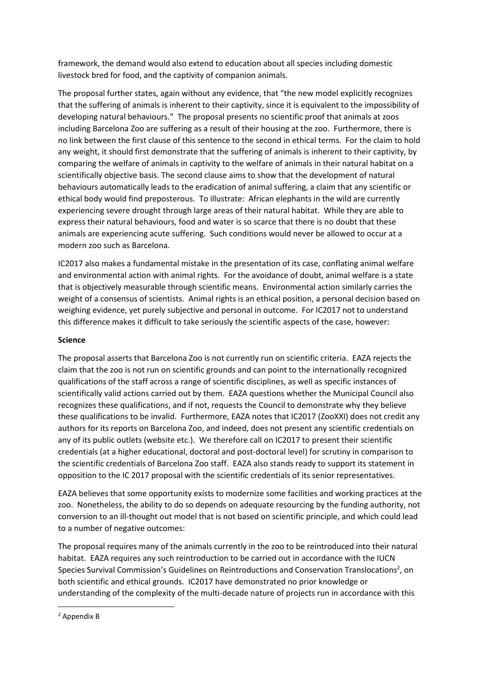framework, the demand would also extend to education about all species including domestic livestock bred for food, and the captivity of companion animals.

The proposal further states, again without any evidence, that "the new model explicitly recognizes that the suffering of animals is inherent to their captivity, since it is equivalent to the impossibility of developing natural behaviours." The proposal presents no scientific proof that animals at zoos including Barcelona Zoo are suffering as a result of their housing at the zoo. Furthermore, there is no link between the first clause of this sentence to the second in ethical terms. For the claim to hold any weight, it should first demonstrate that the suffering of animals is inherent to their captivity, by comparing the welfare of animals in captivity to the welfare of animals in their natural habitat on a scientifically objective basis. The second clause aims to show that the development of natural behaviours automatically leads to the eradication of animal suffering, a claim that any scientific or ethical body would find preposterous. To illustrate: African elephants in the wild are currently experiencing severe drought through large areas of their natural habitat. While they are able to express their natural behaviours, food and water is so scarce that there is no doubt that these animals are experiencing acute suffering. Such conditions would never be allowed to occur at a modern zoo such as Barcelona.

IC2017 also makes a fundamental mistake in the presentation of its case, conflating animal welfare and environmental action with animal rights. For the avoidance of doubt, animal welfare is a state that is objectively measurable through scientific means. Environmental action similarly carries the weight of a consensus of scientists. Animal rights is an ethical position, a personal decision based on weighing evidence, yet purely subjective and personal in outcome. For IC2017 not to understand this difference makes it difficult to take seriously the scientific aspects of the case, however:

### **Science**

The proposal asserts that Barcelona Zoo is not currently run on scientific criteria. EAZA rejects the claim that the zoo is not run on scientific grounds and can point to the internationally recognized qualifications of the staff across a range of scientific disciplines, as well as specific instances of scientifically valid actions carried out by them. EAZA questions whether the Municipal Council also recognizes these qualifications, and if not, requests the Council to demonstrate why they believe these qualifications to be invalid. Furthermore, EAZA notes that IC2017 (ZooXXI) does not credit any authors for its reports on Barcelona Zoo, and indeed, does not present any scientific credentials on any of its public outlets (website etc.). We therefore call on IC2017 to present their scientific credentials (at a higher educational, doctoral and post-doctoral level) for scrutiny in comparison to the scientific credentials of Barcelona Zoo staff. EAZA also stands ready to support its statement in opposition to the IC 2017 proposal with the scientific credentials of its senior representatives.

EAZA believes that some opportunity exists to modernize some facilities and working practices at the zoo. Nonetheless, the ability to do so depends on adequate resourcing by the funding authority, not conversion to an ill-thought out model that is not based on scientific principle, and which could lead to a number of negative outcomes:

The proposal requires many of the animals currently in the zoo to be reintroduced into their natural habitat. EAZA requires any such reintroduction to be carried out in accordance with the IUCN Species Survival Commission's Guidelines on Reintroductions and Conservation Translocations<sup>2</sup>, on both scientific and ethical grounds. IC2017 have demonstrated no prior knowledge or understanding of the complexity of the multi-decade nature of projects run in accordance with this

**.** 

<sup>2</sup> Appendix B